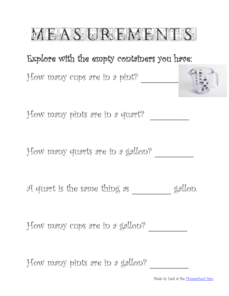

## Explore with the empty containers you have:

How many cups are in a pint? \_\_\_\_\_\_\_\_



How many pints are in a quart? \_\_\_\_\_\_\_\_

How many quarts are in a gallon? \_\_\_\_\_\_\_\_

A quart is the same thing as \_\_\_\_\_\_\_\_ gallon.

How many cups are in a gallon? \_\_\_\_\_\_\_\_

How many pints are in a gallon? \_\_\_\_\_\_\_\_

Made by Liesl at the [Homeschool Den.](http://www.parents.com/blogs/homeschool-den/)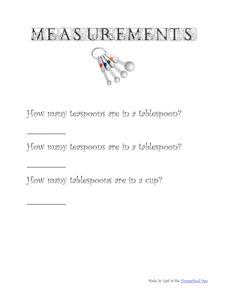

How many teaspoons are in a tablespoon?

How many teaspoons are in a tablespoon?

How many tablespoons are in a cup?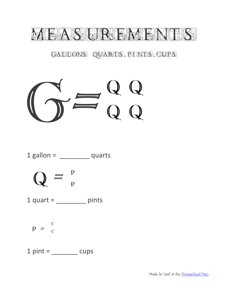

GAEBONS QUARTIS, BLINTIS, GUPS

## $G=Q$ Q Q Q Q

$$
1 \text{ gallon} = \underline{\hspace{2cm}}\underline{\hspace{2cm}}\underline{\hspace{2cm}}\underline{\hspace{2cm}}\underline{\hspace{2cm}}\underline{\hspace{2cm}}\underline{\hspace{2cm}}\underline{\hspace{2cm}}\underline{\hspace{2cm}}\underline{\hspace{2cm}}}
$$

$$
Q = \frac{P}{P}
$$

 $1$  quart =  $\frac{1}{1}$  pints

$$
P = \begin{array}{cc} C \\ C \end{array}
$$

 $1 \text{ pint} = \_\_\_\_\_\_\$ cups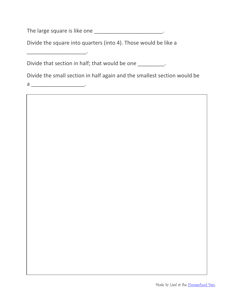The large square is like one \_\_\_\_\_\_\_\_\_\_\_\_\_\_\_\_\_\_\_\_\_\_\_\_\_\_.

Divide the square into quarters (into 4). Those would be like a

Divide that section in half; that would be one \_\_\_\_\_\_\_\_\_\_.

Divide the small section in half again and the smallest section would be

a \_\_\_\_\_\_\_\_\_\_\_\_\_\_\_\_\_\_.

\_\_\_\_\_\_\_\_\_\_\_\_\_\_\_\_\_\_\_\_.

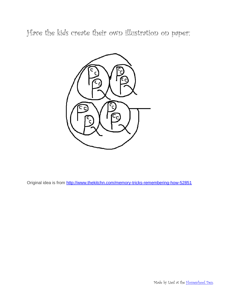Have the kids create their own illustration on paper:



Original idea is from<http://www.thekitchn.com/memory-tricks-remembering-how-52851>